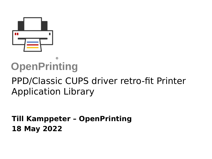

#### **OpenPrinting** ®

# PPD/Classic CUPS driver retro-fit Printer Application Library

#### **Till Kamppeter – OpenPrinting 18 May 2022**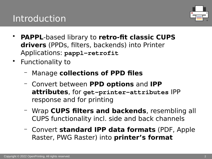## Introduction



- **PAPPL**-based library to **retro-fit classic CUPS drivers** (PPDs, filters, backends) into Printer Applications: **pappl-retrofit**
- Functionality to
	- Manage **collections of PPD files**
	- Convert between **PPD options** and **IPP attributes**, for **get-printer-attributes** IPP response and for printing
	- Wrap **CUPS filters and backends**, resembling all CUPS functionality incl. side and back channels
	- Convert **standard IPP data formats** (PDF, Apple Raster, PWG Raster) into **printer's format**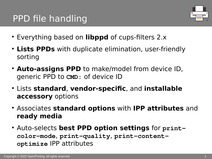# PPD file handling



- Everything based on **libppd** of cups-filters 2.x
- Lists PPDs with duplicate elimination, user-friendly sorting
- **Auto-assigns PPD** to make/model from device ID, generic PPD to **CMD:** of device ID
- Lists **standard**, **vendor-specific**, and **installable accessory** options
- Associates **standard options** with **IPP attributes** and **ready media**
- Auto-selects **best PPD option settings** for print**color-mode**, **print-quality**, **print-contentoptimize** IPP attributes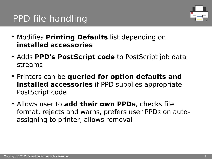# PPD file handling



- Modifies **Printing Defaults** list depending on **installed accessories**
- Adds **PPD's PostScript code** to PostScript job data streams
- **Printers can be queried for option defaults and installed accessories** if PPD supplies appropriate PostScript code
- Allows user to **add their own PPDs**, checks file format, rejects and warns, prefers user PPDs on autoassigning to printer, allows removal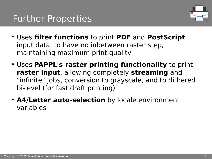

- Uses **filter functions** to print **PDF** and **PostScript** input data, to have no inbetween raster step, maintaining maximum print quality
- Uses **PAPPL's raster printing functionality** to print **raster input**, allowing completely **streaming** and "infinite" jobs, conversion to grayscale, and to dithered bi-level (for fast draft printing)
- **A4/Letter auto-selection** by locale environment variables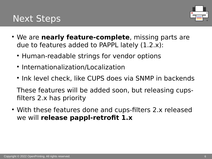## Next Steps



- We are **nearly feature-complete**, missing parts are due to features added to PAPPL lately (1.2.x):
	- Human-readable strings for vendor options
	- Internationalization/Localization
	- Ink level check, like CUPS does via SNMP in backends

These features will be added soon, but releasing cupsfilters 2.x has priority

• With these features done and cups-filters 2.x released we will **release pappl-retrofit 1.x**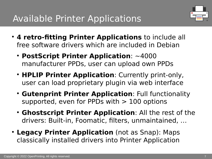

- **4 retro-fitting Printer Applications** to include all free software drivers which are included in Debian
	- **PostScript Printer Application**: ~4000 manufacturer PPDs, user can upload own PPDs
	- **HPLIP Printer Application**: Currently print-only, user can load proprietary plugin via web interface
	- **Gutenprint Printer Application**: Full functionality supported, even for PPDs with  $> 100$  options
	- **Ghostscript Printer Application**: All the rest of the drivers: Built-in, Foomatic, filters, unmaintained, …
- **Legacy Printer Application** (not as Snap): Maps classically installed drivers into Printer Application